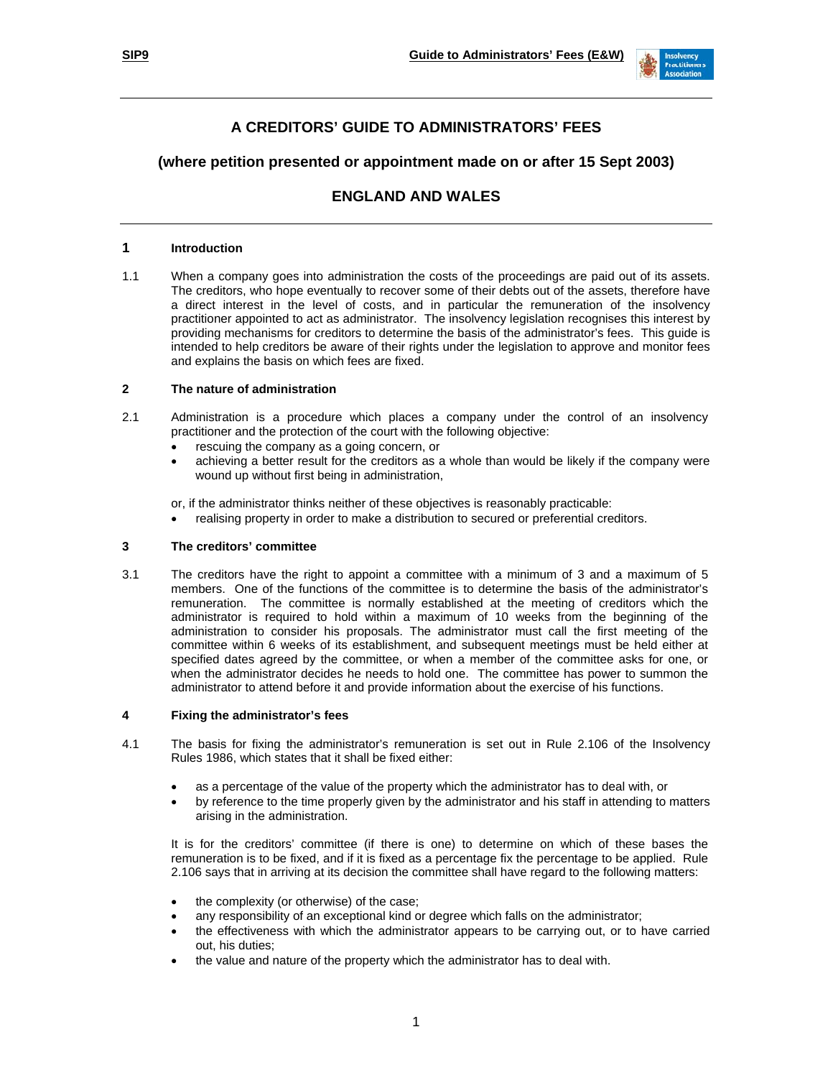

# **A CREDITORS' GUIDE TO ADMINISTRATORS' FEES**

## **(where petition presented or appointment made on or after 15 Sept 2003)**

## **ENGLAND AND WALES**

## **1 Introduction**

1.1 When a company goes into administration the costs of the proceedings are paid out of its assets. The creditors, who hope eventually to recover some of their debts out of the assets, therefore have a direct interest in the level of costs, and in particular the remuneration of the insolvency practitioner appointed to act as administrator. The insolvency legislation recognises this interest by providing mechanisms for creditors to determine the basis of the administrator's fees. This guide is intended to help creditors be aware of their rights under the legislation to approve and monitor fees and explains the basis on which fees are fixed.

## **2 The nature of administration**

- 2.1 Administration is a procedure which places a company under the control of an insolvency practitioner and the protection of the court with the following objective:
	- rescuing the company as a going concern, or
	- achieving a better result for the creditors as a whole than would be likely if the company were wound up without first being in administration,

or, if the administrator thinks neither of these objectives is reasonably practicable:

• realising property in order to make a distribution to secured or preferential creditors.

## **3 The creditors' committee**

3.1 The creditors have the right to appoint a committee with a minimum of 3 and a maximum of 5 members. One of the functions of the committee is to determine the basis of the administrator's remuneration. The committee is normally established at the meeting of creditors which the administrator is required to hold within a maximum of 10 weeks from the beginning of the administration to consider his proposals. The administrator must call the first meeting of the committee within 6 weeks of its establishment, and subsequent meetings must be held either at specified dates agreed by the committee, or when a member of the committee asks for one, or when the administrator decides he needs to hold one. The committee has power to summon the administrator to attend before it and provide information about the exercise of his functions.

#### **4 Fixing the administrator's fees**

- 4.1 The basis for fixing the administrator's remuneration is set out in Rule 2.106 of the Insolvency Rules 1986, which states that it shall be fixed either:
	- as a percentage of the value of the property which the administrator has to deal with, or
	- by reference to the time properly given by the administrator and his staff in attending to matters arising in the administration.

 It is for the creditors' committee (if there is one) to determine on which of these bases the remuneration is to be fixed, and if it is fixed as a percentage fix the percentage to be applied. Rule 2.106 says that in arriving at its decision the committee shall have regard to the following matters:

- the complexity (or otherwise) of the case;
- any responsibility of an exceptional kind or degree which falls on the administrator;
- the effectiveness with which the administrator appears to be carrying out, or to have carried out, his duties;
- the value and nature of the property which the administrator has to deal with.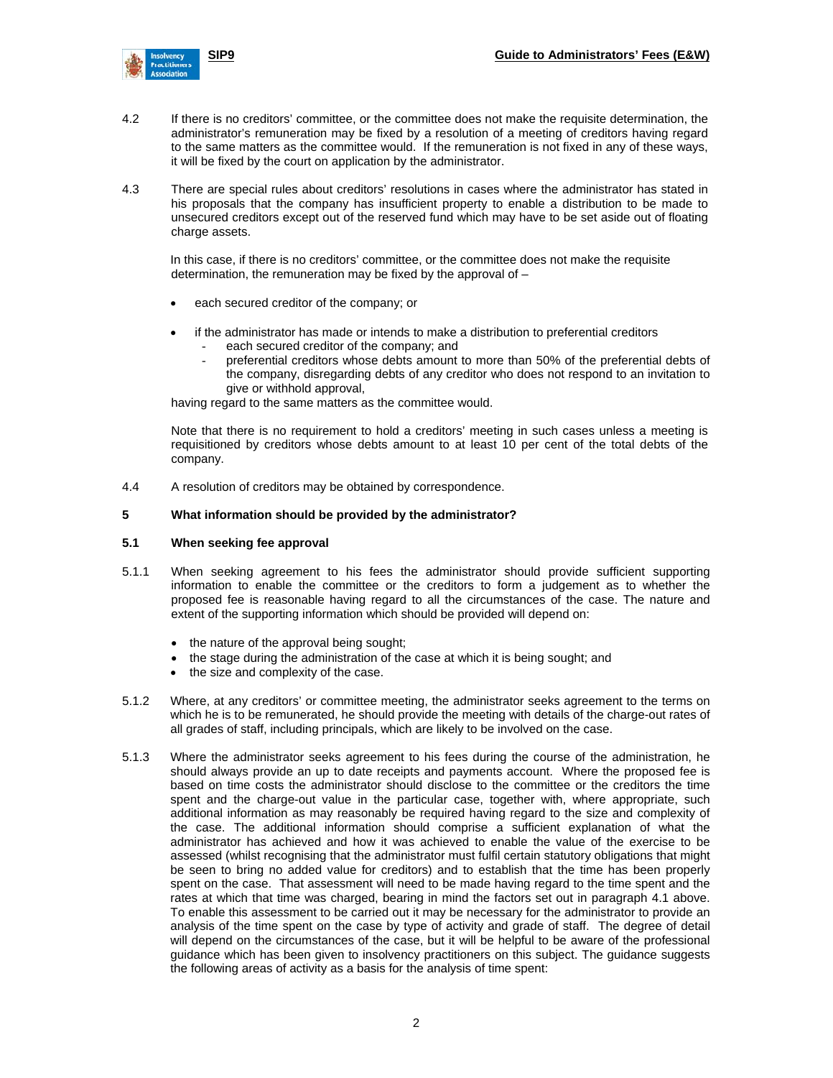

- 4.2 If there is no creditors' committee, or the committee does not make the requisite determination, the administrator's remuneration may be fixed by a resolution of a meeting of creditors having regard to the same matters as the committee would. If the remuneration is not fixed in any of these ways, it will be fixed by the court on application by the administrator.
- 4.3 There are special rules about creditors' resolutions in cases where the administrator has stated in his proposals that the company has insufficient property to enable a distribution to be made to unsecured creditors except out of the reserved fund which may have to be set aside out of floating charge assets.

In this case, if there is no creditors' committee, or the committee does not make the requisite determination, the remuneration may be fixed by the approval of –

- each secured creditor of the company; or
- if the administrator has made or intends to make a distribution to preferential creditors each secured creditor of the company; and
	- preferential creditors whose debts amount to more than 50% of the preferential debts of the company, disregarding debts of any creditor who does not respond to an invitation to give or withhold approval,

having regard to the same matters as the committee would.

 Note that there is no requirement to hold a creditors' meeting in such cases unless a meeting is requisitioned by creditors whose debts amount to at least 10 per cent of the total debts of the company.

4.4 A resolution of creditors may be obtained by correspondence.

### **5 What information should be provided by the administrator?**

#### **5.1 When seeking fee approval**

- 5.1.1 When seeking agreement to his fees the administrator should provide sufficient supporting information to enable the committee or the creditors to form a judgement as to whether the proposed fee is reasonable having regard to all the circumstances of the case. The nature and extent of the supporting information which should be provided will depend on:
	- the nature of the approval being sought;
	- the stage during the administration of the case at which it is being sought; and
	- the size and complexity of the case.
- 5.1.2 Where, at any creditors' or committee meeting, the administrator seeks agreement to the terms on which he is to be remunerated, he should provide the meeting with details of the charge-out rates of all grades of staff, including principals, which are likely to be involved on the case.
- 5.1.3 Where the administrator seeks agreement to his fees during the course of the administration, he should always provide an up to date receipts and payments account. Where the proposed fee is based on time costs the administrator should disclose to the committee or the creditors the time spent and the charge-out value in the particular case, together with, where appropriate, such additional information as may reasonably be required having regard to the size and complexity of the case. The additional information should comprise a sufficient explanation of what the administrator has achieved and how it was achieved to enable the value of the exercise to be assessed (whilst recognising that the administrator must fulfil certain statutory obligations that might be seen to bring no added value for creditors) and to establish that the time has been properly spent on the case. That assessment will need to be made having regard to the time spent and the rates at which that time was charged, bearing in mind the factors set out in paragraph 4.1 above. To enable this assessment to be carried out it may be necessary for the administrator to provide an analysis of the time spent on the case by type of activity and grade of staff. The degree of detail will depend on the circumstances of the case, but it will be helpful to be aware of the professional guidance which has been given to insolvency practitioners on this subject. The guidance suggests the following areas of activity as a basis for the analysis of time spent: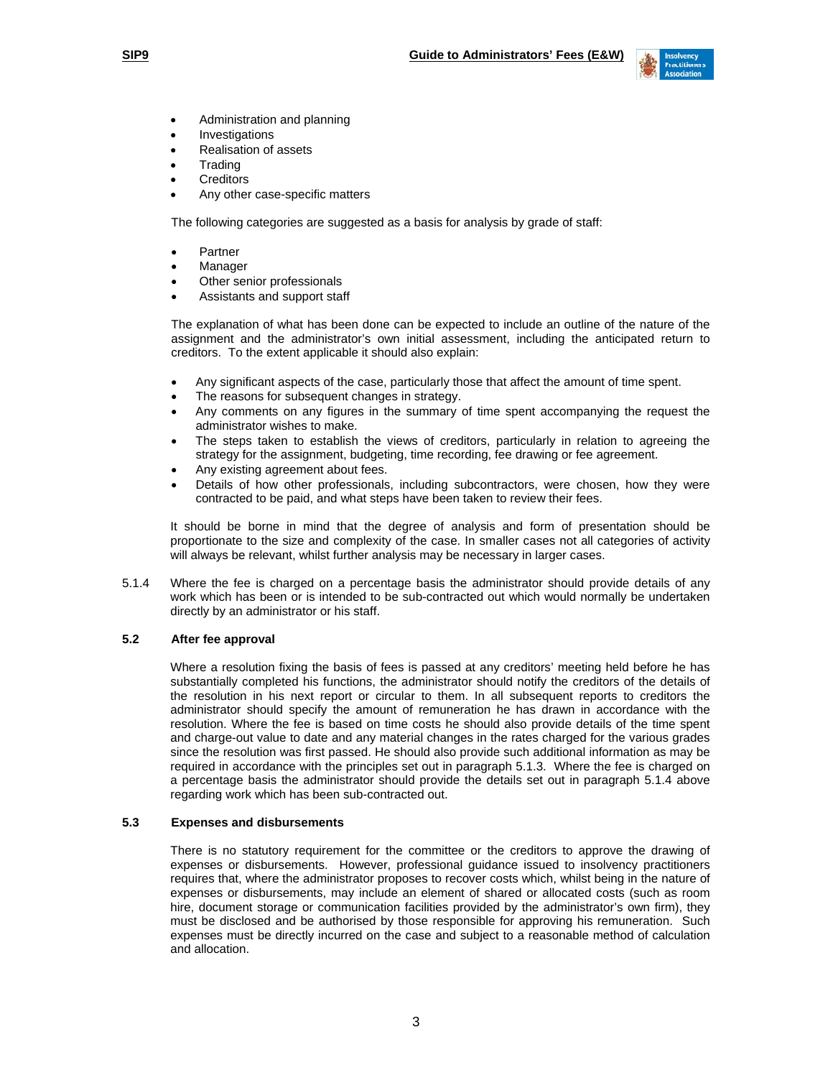

- Administration and planning
- **Investigations**
- Realisation of assets
- **Trading**
- **Creditors**
- Any other case-specific matters

The following categories are suggested as a basis for analysis by grade of staff:

- Partner
- **Manager**
- Other senior professionals
- Assistants and support staff

The explanation of what has been done can be expected to include an outline of the nature of the assignment and the administrator's own initial assessment, including the anticipated return to creditors. To the extent applicable it should also explain:

- Any significant aspects of the case, particularly those that affect the amount of time spent.
- The reasons for subsequent changes in strategy.
- Any comments on any figures in the summary of time spent accompanying the request the administrator wishes to make.
- The steps taken to establish the views of creditors, particularly in relation to agreeing the strategy for the assignment, budgeting, time recording, fee drawing or fee agreement.
- Any existing agreement about fees.
- Details of how other professionals, including subcontractors, were chosen, how they were contracted to be paid, and what steps have been taken to review their fees.

It should be borne in mind that the degree of analysis and form of presentation should be proportionate to the size and complexity of the case. In smaller cases not all categories of activity will always be relevant, whilst further analysis may be necessary in larger cases.

5.1.4 Where the fee is charged on a percentage basis the administrator should provide details of any work which has been or is intended to be sub-contracted out which would normally be undertaken directly by an administrator or his staff.

## **5.2 After fee approval**

Where a resolution fixing the basis of fees is passed at any creditors' meeting held before he has substantially completed his functions, the administrator should notify the creditors of the details of the resolution in his next report or circular to them. In all subsequent reports to creditors the administrator should specify the amount of remuneration he has drawn in accordance with the resolution. Where the fee is based on time costs he should also provide details of the time spent and charge-out value to date and any material changes in the rates charged for the various grades since the resolution was first passed. He should also provide such additional information as may be required in accordance with the principles set out in paragraph 5.1.3. Where the fee is charged on a percentage basis the administrator should provide the details set out in paragraph 5.1.4 above regarding work which has been sub-contracted out.

#### **5.3 Expenses and disbursements**

There is no statutory requirement for the committee or the creditors to approve the drawing of expenses or disbursements. However, professional guidance issued to insolvency practitioners requires that, where the administrator proposes to recover costs which, whilst being in the nature of expenses or disbursements, may include an element of shared or allocated costs (such as room hire, document storage or communication facilities provided by the administrator's own firm), they must be disclosed and be authorised by those responsible for approving his remuneration. Such expenses must be directly incurred on the case and subject to a reasonable method of calculation and allocation.